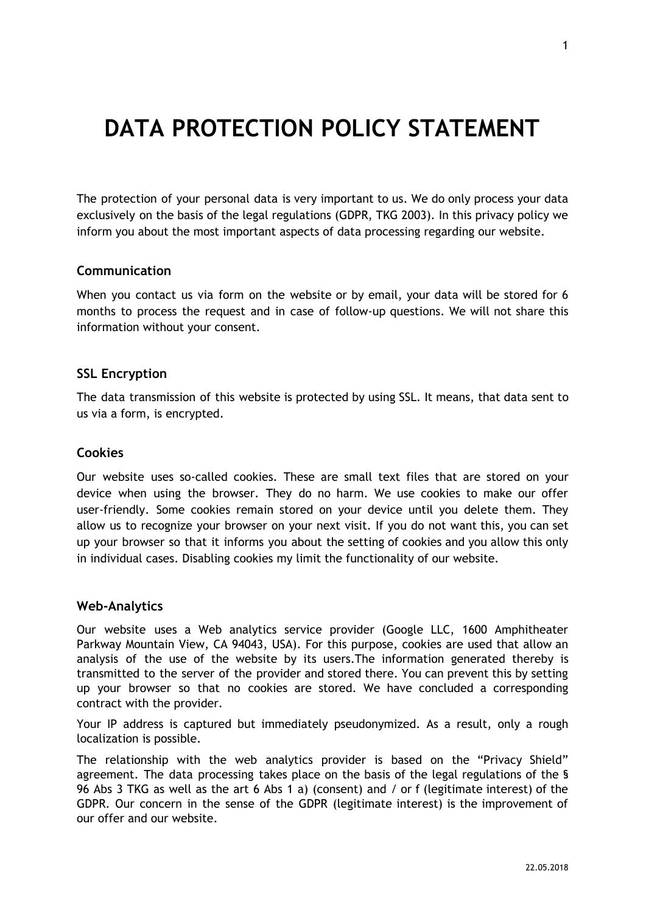# **DATA PROTECTION POLICY STATEMENT**

The protection of your personal data is very important to us. We do only process your data exclusively on the basis of the legal regulations (GDPR, TKG 2003). In this privacy policy we inform you about the most important aspects of data processing regarding our website.

### **Communication**

When you contact us via form on the website or by email, your data will be stored for 6 months to process the request and in case of follow-up questions. We will not share this information without your consent.

### **SSL Encryption**

The data transmission of this website is protected by using SSL. It means, that data sent to us via a form, is encrypted.

#### **Cookies**

Our website uses so-called cookies. These are small text files that are stored on your device when using the browser. They do no harm. We use cookies to make our offer user-friendly. Some cookies remain stored on your device until you delete them. They allow us to recognize your browser on your next visit. If you do not want this, you can set up your browser so that it informs you about the setting of cookies and you allow this only in individual cases. Disabling cookies my limit the functionality of our website.

#### **Web-Analytics**

Our website uses a Web analytics service provider (Google LLC, 1600 Amphitheater Parkway Mountain View, CA 94043, USA). For this purpose, cookies are used that allow an analysis of the use of the website by its users.The information generated thereby is transmitted to the server of the provider and stored there. You can prevent this by setting up your browser so that no cookies are stored. We have concluded a corresponding contract with the provider.

Your IP address is captured but immediately pseudonymized. As a result, only a rough localization is possible.

The relationship with the web analytics provider is based on the "Privacy Shield" agreement. The data processing takes place on the basis of the legal regulations of the § 96 Abs 3 TKG as well as the art 6 Abs 1 a) (consent) and / or f (legitimate interest) of the GDPR. Our concern in the sense of the GDPR (legitimate interest) is the improvement of our offer and our website.